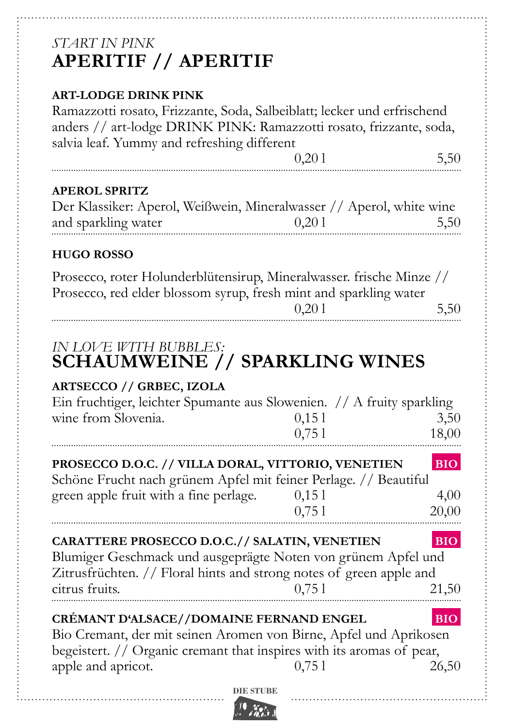# *Start in pink* **Aperitif // aperitif**

#### **art-lodge drink pink**

Ramazzotti rosato, Frizzante, Soda, Salbeiblatt; lecker und erfrischend anders // art-lodge DRINK PINK: Ramazzotti rosato, frizzante, soda, salvia leaf. Yummy and refreshing different

 $0,201$  5,50

#### **APEROL Spritz**

..<br>.

| Der Klassiker: Aperol, Weißwein, Mineralwasser // Aperol, white wine |       |      |
|----------------------------------------------------------------------|-------|------|
| and sparkling water                                                  | 0,201 | 5,50 |
|                                                                      |       |      |

#### **HUGO ROSSO**

Prosecco, roter Holunderblütensirup, Mineralwasser. frische Minze // Prosecco, red elder blossom syrup, fresh mint and sparkling water

 $0.201$  5.50

# *In love with bubbles:* **Schaumweine // Sparkling wines**

#### **artsecco // Grbec, Izola**

| Ein fruchtiger, leichter Spumante aus Slowenien. // A fruity sparkling |        |       |
|------------------------------------------------------------------------|--------|-------|
| wine from Slovenia.                                                    | 0.15 1 | 3,50  |
|                                                                        | 0.751  | 18,00 |

# **PROSECCO D.O.C. // VILLA DORAL, VITTORIO, VENETIEN ... BIO.**

| Schöne Frucht nach grünem Apfel mit feiner Perlage. // Beautiful |       |       |
|------------------------------------------------------------------|-------|-------|
| green apple fruit with a fine perlage.                           | 0.151 | 4.00  |
|                                                                  | 0,751 | 20,00 |

## **Carattere prosecco D.O.C.// Salatin, Venetien .BIO.**

Blumiger Geschmack und ausgeprägte Noten von grünem Apfel und Zitrusfrüchten. // Floral hints and strong notes of green apple and citrus fruits.  $0.751$  21,50

# **CRÉMANT D'ALSACE//DOMAINE FERNAND ENGEL .BIO.** Bio Cremant, der mit seinen Aromen von Birne, Apfel und Aprikosen

begeistert. // Organic cremant that inspires with its aromas of pear, apple and apricot.  $0,751$   $26,50$ 

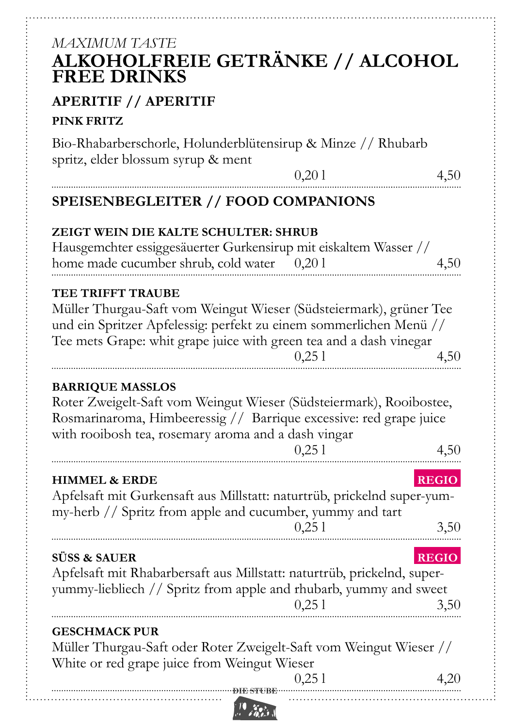# **DIE DIE STUDIE ER STUDIE ER STUDIE ER STUDIE ER STUDIE ER STUDIE ER STUDIE ER STUDIE EN STUDIE EN STUDIE EN ST** *Maximum taste* **Alkoholfreie getränke // alcohol Free drinks aperitif // aperitif pink fritz** Bio-Rhabarberschorle, Holunderblütensirup & Minze // Rhubarb spritz, elder blossum syrup & ment  $0,201$  4,50 **Speisenbegleiter // Food companions Zeigt Wein die kalte Schulter: shrub** Hausgemchter essiggesäuerter Gurkensirup mit eiskaltem Wasser // home made cucumber shrub, cold water 0,20 l 4,50 **tee trifft traube** Müller Thurgau-Saft vom Weingut Wieser (Südsteiermark), grüner Tee und ein Spritzer Apfelessig: perfekt zu einem sommerlichen Menü // Tee mets Grape: whit grape juice with green tea and a dash vinegar  $0,251$  4,50 **barrique masslos** Roter Zweigelt-Saft vom Weingut Wieser (Südsteiermark), Rooibostee, Rosmarinaroma, Himbeeressig // Barrique excessive: red grape juice with rooibosh tea, rosemary aroma and a dash vingar  $0,251$  4,50 **Himmel & Erde .RegIO.** Apfelsaft mit Gurkensaft aus Millstatt: naturtrüb, prickelnd super-yummy-herb // Spritz from apple and cucumber, yummy and tart  $0,251$   $3,50$ **Süss & sauer .RegIO.** Apfelsaft mit Rhabarbersaft aus Millstatt: naturtrüb, prickelnd, superyummy-liebliech // Spritz from apple and rhubarb, yummy and sweet  $0,251$   $3,50$ **Geschmack pur** Müller Thurgau-Saft oder Roter Zweigelt-Saft vom Weingut Wieser // White or red grape juice from Weingut Wieser  $0,251$  4,20

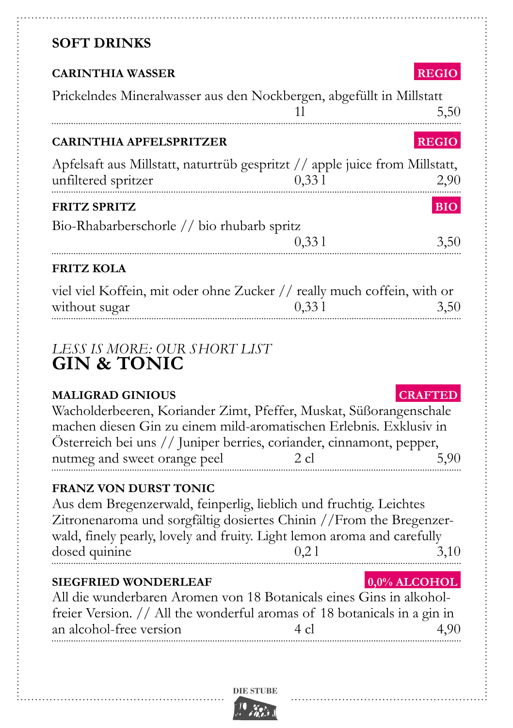# **SOFT DRINKS**

| <b>CARINTHIA WASSER</b>                                                                                                                                                                                                                                                          |                                      | <b>REGIO</b>           |
|----------------------------------------------------------------------------------------------------------------------------------------------------------------------------------------------------------------------------------------------------------------------------------|--------------------------------------|------------------------|
| Prickelndes Mineralwasser aus den Nockbergen, abgefüllt in Millstatt                                                                                                                                                                                                             | 11                                   | 5,50                   |
| <b>CARINTHIA APFELSPRITZER</b>                                                                                                                                                                                                                                                   |                                      | <b>REGIO</b>           |
| Apfelsaft aus Millstatt, naturtrüb gespritzt // apple juice from Millstatt,<br>unfiltered spritzer 0,33 l                                                                                                                                                                        | 33 l                                 | 2,90                   |
| <b>FRITZ SPRITZ</b>                                                                                                                                                                                                                                                              |                                      | <b>BIO</b>             |
| Bio-Rhabarberschorle // bio rhubarb spritz                                                                                                                                                                                                                                       | $\begin{array}{c} 0,331 \end{array}$ | 3,50                   |
| <b>FRITZ KOLA</b>                                                                                                                                                                                                                                                                |                                      |                        |
| viel viel Koffein, mit oder ohne Zucker // really much coffein, with or<br>without sugar                                                                                                                                                                                         | 0,331                                | 3,50                   |
| LESS IS MORE: OUR SHORT LIST<br><b>GIN &amp; TONIC</b>                                                                                                                                                                                                                           |                                      |                        |
| <b>MALIGRAD GINIOUS</b><br>Wacholderbeeren, Koriander Zimt, Pfeffer, Muskat, Süßorangenschale<br>machen diesen Gin zu einem mild-aromatischen Erlebnis. Exklusiv in<br>Österreich bei uns // Juniper berries, coriander, cinnamont, pepper,<br>nutmeg and sweet orange peel 2 cl |                                      | <b>CRAFTED</b><br>5,90 |
| <b>FRANZ VON DURST TONIC</b>                                                                                                                                                                                                                                                     |                                      |                        |

Aus dem Bregenzerwald, feinperlig, lieblich und fruchtig. Leichtes Zitronenaroma und sorgfältig dosiertes Chinin //From the Bregenzerwald, finely pearly, lovely and fruity. Light lemon aroma and carefully  $\frac{1}{3}$  dosed quinine  $\frac{0,21}{3,10}$ 

## **SIEGFRIED WONDERLEAF .0,0% ALCOHOL**

| All die wunderbaren Aromen von 18 Botanicals eines Gins in alkohol-      |                |      |
|--------------------------------------------------------------------------|----------------|------|
| freier Version. // All the wonderful aromas of 18 botanicals in a gin in |                |      |
| an alcohol-free version                                                  | $4 \text{ cl}$ | 4,90 |

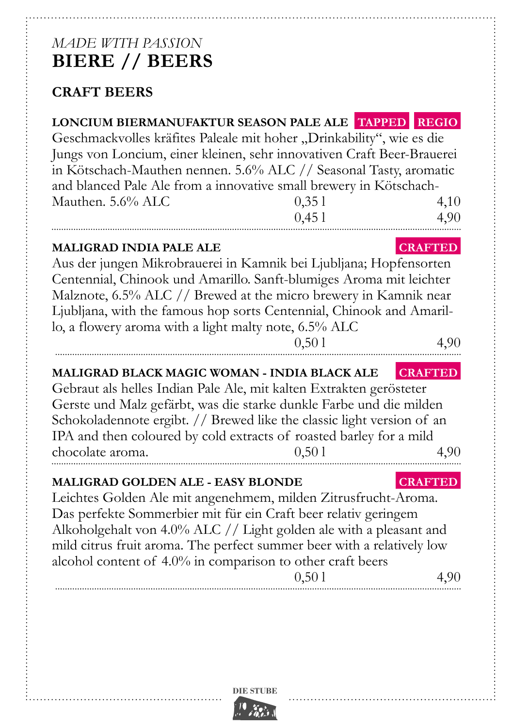# *made with passion* **biere // beers**

# **Craft beers**

| LONCIUM BIERMANUFAKTUR SEASON PALE ALE TAPPED REGIO<br>Geschmackvolles kräfites Paleale mit hoher "Drinkability", wie es die<br>Jungs von Loncium, einer kleinen, sehr innovativen Craft Beer-Brauerei<br>in Kötschach-Mauthen nennen. 5.6% ALC // Seasonal Tasty, aromatic<br>and blanced Pale Ale from a innovative small brewery in Kötschach-<br>Mauthen. 5.6% ALC                      | 0,351<br>0,451 | 4,10<br>4,90           |
|---------------------------------------------------------------------------------------------------------------------------------------------------------------------------------------------------------------------------------------------------------------------------------------------------------------------------------------------------------------------------------------------|----------------|------------------------|
| <b>MALIGRAD INDIA PALE ALE</b><br>Aus der jungen Mikrobrauerei in Kamnik bei Ljubljana; Hopfensorten<br>Centennial, Chinook und Amarillo. Sanft-blumiges Aroma mit leichter<br>Malznote, 6.5% ALC // Brewed at the micro brewery in Kamnik near<br>Ljubljana, with the famous hop sorts Centennial, Chinook and Amaril-<br>lo, a flowery aroma with a light malty note, 6.5% ALC            | 0,501          | <b>CRAFTED</b><br>4,90 |
| MALIGRAD BLACK MAGIC WOMAN - INDIA BLACK ALE<br>Gebraut als helles Indian Pale Ale, mit kalten Extrakten gerösteter<br>Gerste und Malz gefärbt, was die starke dunkle Farbe und die milden<br>Schokoladennote ergibt. // Brewed like the classic light version of an<br>IPA and then coloured by cold extracts of roasted barley for a mild<br>chocolate aroma.                             | 0,501          | <b>CRAFTED</b><br>4,90 |
| <b>MALIGRAD GOLDEN ALE - EASY BLONDE</b><br>Leichtes Golden Ale mit angenehmem, milden Zitrusfrucht-Aroma.<br>Das perfekte Sommerbier mit für ein Craft beer relativ geringem<br>Alkoholgehalt von 4.0% ALC // Light golden ale with a pleasant and<br>mild citrus fruit aroma. The perfect summer beer with a relatively low<br>alcohol content of 4.0% in comparison to other craft beers | 0,501          | <b>CRAFTED</b><br>4,90 |

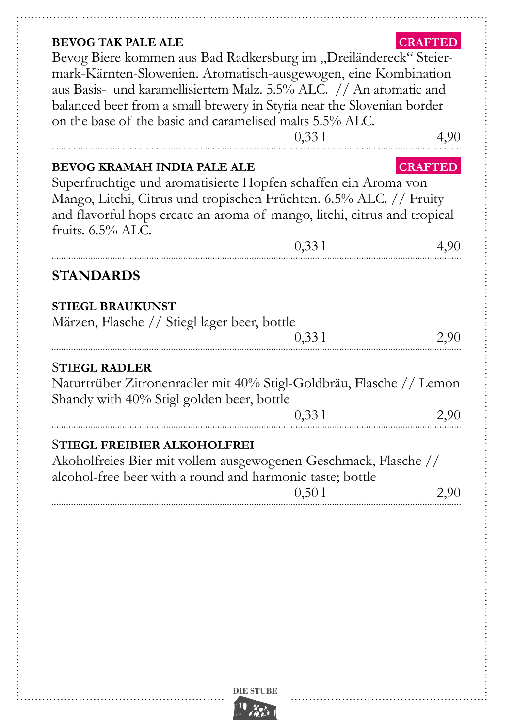### **bevog TAK pale ale .crafted.**

Bevog Biere kommen aus Bad Radkersburg im "Dreiländereck" Steiermark-Kärnten-Slowenien. Aromatisch-ausgewogen, eine Kombination aus Basis- und karamellisiertem Malz. 5.5% ALC. // An aromatic and balanced beer from a small brewery in Styria near the Slovenian border on the base of the basic and caramelised malts  $5.5\%$  ALC.

|                                                                                                                                                                                                                                                                                | 0,331 | 4,90                   |
|--------------------------------------------------------------------------------------------------------------------------------------------------------------------------------------------------------------------------------------------------------------------------------|-------|------------------------|
| <b>BEVOG KRAMAH INDIA PALE ALE</b><br>Superfruchtige und aromatisierte Hopfen schaffen ein Aroma von<br>Mango, Litchi, Citrus und tropischen Früchten. 6.5% ALC. // Fruity<br>and flavorful hops create an aroma of mango, litchi, citrus and tropical<br>fruits. $6.5\%$ ALC. | 0,331 | <b>CRAFTED</b><br>4,90 |
| <b>STANDARDS</b>                                                                                                                                                                                                                                                               |       |                        |
| <b>STIEGL BRAUKUNST</b><br>Märzen, Flasche // Stiegl lager beer, bottle                                                                                                                                                                                                        | 0,331 | 2,90                   |
| <b>STIEGL RADLER</b><br>Naturtrüber Zitronenradler mit 40% Stigl-Goldbräu, Flasche // Lemon<br>Shandy with 40% Stigl golden beer, bottle                                                                                                                                       | 0,331 | 2,90                   |
| STIEGL FREIBIER ALKOHOLFREI<br>Akoholfreies Bier mit vollem ausgewogenen Geschmack, Flasche //<br>alcohol-free beer with a round and harmonic taste; bottle                                                                                                                    | 0,501 | 2,90                   |

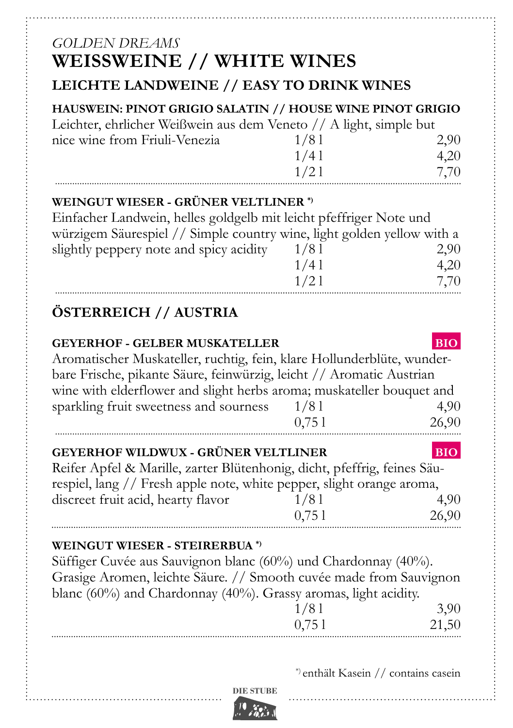# *golden dreams* **weissweine // white wines**

## **leichte Landweine // easy to drink wines**

## **hauswein: pinot grigio salatin // house wine pinot grigio**

Leichter, ehrlicher Weißwein aus dem Veneto // A light, simple but nice wine from Friuli-Venezia  $1/8$  l 2,90  $1/4$  l  $4,20$  $1/2$  l  $7,70$ 

#### **Weingut Wieser - grüner Veltliner \*)**

Einfacher Landwein, helles goldgelb mit leicht pfeffriger Note und würzigem Säurespiel // Simple country wine, light golden yellow with a slightly peppery note and spicy acidity  $1/8$  l  $2,90$  $1/4$  l  $4,20$  $1/2$  l 7.70

# **Österreich // Austria**

## **geyerhof - gelber muskateller .BIO.** Aromatischer Muskateller, ruchtig, fein, klare Hollunderblüte, wunderbare Frische, pikante Säure, feinwürzig, leicht // Aromatic Austrian wine with elderflower and slight herbs aroma; muskateller bouquet and sparkling fruit sweetness and sourness  $1/8$  l  $4,90$ 0,75 l 26.90

| GEYERHOF WILDWUX - GRÜNER VELTLINER                                      |       | <b>BIO</b> |
|--------------------------------------------------------------------------|-------|------------|
| Reifer Apfel & Marille, zarter Blütenhonig, dicht, pfeffrig, feines Säu- |       |            |
| respiel, lang // Fresh apple note, white pepper, slight orange aroma,    |       |            |
| discreet fruit acid, hearty flavor                                       | 1/81  | 4.90       |
|                                                                          | 0.751 | 26,90      |

### **Weingut Wieser - steirerbua \*)**

Süffiger Cuvée aus Sauvignon blanc (60%) und Chardonnay (40%). Grasige Aromen, leichte Säure. // Smooth cuvée made from Sauvignon blanc (60%) and Chardonnay (40%). Grassy aromas, light acidity.

| $\overline{\phantom{a}}$ | <b>SA</b> |
|--------------------------|-----------|
|                          |           |

\*) enthält Kasein // contains casein

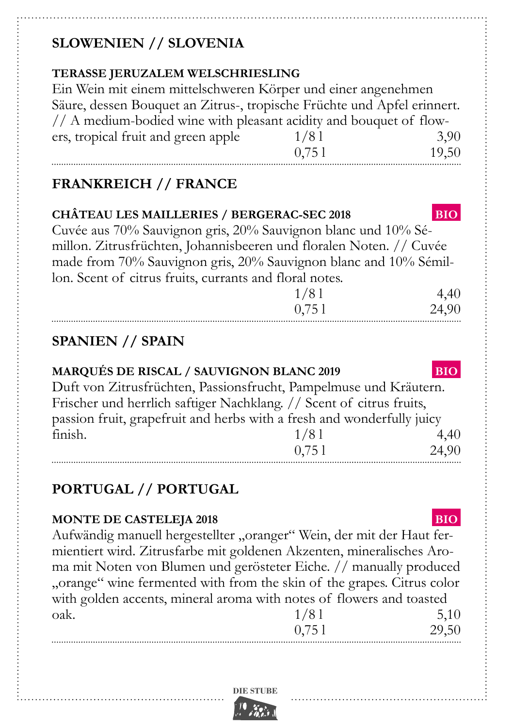# **Slowenien // Slovenia**

### **Terasse Jeruzalem welschriesling**

Ein Wein mit einem mittelschweren Körper und einer angenehmen Säure, dessen Bouquet an Zitrus-, tropische Früchte und Apfel erinnert. // A medium-bodied wine with pleasant acidity and bouquet of flowers, tropical fruit and green apple  $1/81$  3,90 0,75 l 19,50

# **Frankreich // france**

| CHÂTEAU LES MAILLERIES / BERGERAC-SEC 2018                          | <b>BIO</b> |
|---------------------------------------------------------------------|------------|
| Cuvée aus 70% Sauvignon gris, 20% Sauvignon blanc und 10% Sé-       |            |
| millon. Zitrusfrüchten, Johannisbeeren und floralen Noten. // Cuvée |            |
| made from 70% Sauvignon gris, 20% Sauvignon blanc and 10% Sémil-    |            |
| lon. Scent of citrus fruits, currants and floral notes.             |            |
| 1/81                                                                | 4,40       |
| 0,751                                                               | 24,90      |

# **Spanien // Spain**

#### **Marqués de Riscal / Sauvignon Blanc 2019 .BIO.** Duft von Zitrusfrüchten, Passionsfrucht, Pampelmuse und Kräutern.

Frischer und herrlich saftiger Nachklang. // Scent of citrus fruits, passion fruit, grapefruit and herbs with a fresh and wonderfully juicy finish.  $1/81$  4,40 0,75 l 24,90

# **Portugal // portugal**

### **MONTE DE CASTELEJA 2018 BIO.**

Aufwändig manuell hergestellter "oranger" Wein, der mit der Haut fermientiert wird. Zitrusfarbe mit goldenen Akzenten, mineralisches Aroma mit Noten von Blumen und gerösteter Eiche. // manually produced "orange" wine fermented with from the skin of the grapes. Citrus color with golden accents, mineral aroma with notes of flowers and toasted<br> $\frac{1}{8}$  10 oak.  $1/81$  5,10

| 1/01  | 3,10  |
|-------|-------|
| 0,751 | 29,50 |
|       |       |

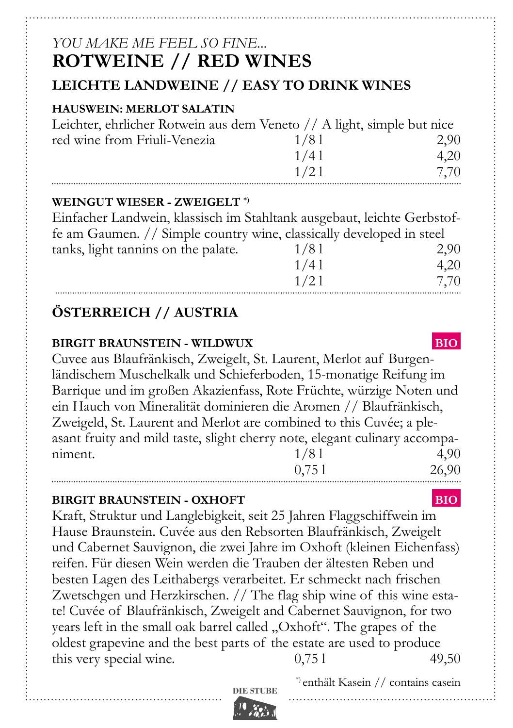# *you make me feel so fine...* **rotweine // red wines**

## **leichte Landweine // easy to drink wines**

#### **hauswein: merlot SALATIN**

| Leichter, ehrlicher Rotwein aus dem Veneto // A light, simple but nice |      |      |
|------------------------------------------------------------------------|------|------|
| red wine from Friuli-Venezia                                           | 1/81 | 2.90 |
|                                                                        | 1/41 | 4.20 |
|                                                                        | 1/21 | 7.70 |

#### **Weingut Wieser - Zweigelt \*)**

Einfacher Landwein, klassisch im Stahltank ausgebaut, leichte Gerbstoffe am Gaumen. // Simple country wine, classically developed in steel tanks, light tannins on the palate.  $1/8$  l  $2,90$ 

| 1/01 | $\sim, \sim$ |
|------|--------------|
| 1/41 | 4,20         |
| 1/21 | 7,70         |

# **Österreich // Austria**

#### **birgit braunstein - wildwux ... BIO.**

Cuvee aus Blaufränkisch, Zweigelt, St. Laurent, Merlot auf Burgenländischem Muschelkalk und Schieferboden, 15-monatige Reifung im Barrique und im großen Akazienfass, Rote Früchte, würzige Noten und ein Hauch von Mineralität dominieren die Aromen // Blaufränkisch, Zweigeld, St. Laurent and Merlot are combined to this Cuvée; a pleasant fruity and mild taste, slight cherry note, elegant culinary accompaniment.  $1/81$  4,90 0,75 l 26,90

#### **birgit braunstein - oxhoft .BIO.**

Kraft, Struktur und Langlebigkeit, seit 25 Jahren Flaggschiffwein im Hause Braunstein. Cuvée aus den Rebsorten Blaufränkisch, Zweigelt und Cabernet Sauvignon, die zwei Jahre im Oxhoft (kleinen Eichenfass) reifen. Für diesen Wein werden die Trauben der ältesten Reben und besten Lagen des Leithabergs verarbeitet. Er schmeckt nach frischen Zwetschgen und Herzkirschen. // The flag ship wine of this wine estate! Cuvée of Blaufränkisch, Zweigelt and Cabernet Sauvignon, for two years left in the small oak barrel called "Oxhoft". The grapes of the oldest grapevine and the best parts of the estate are used to produce this very special wine.  $0,751$  49,50

\*) enthält Kasein // contains casein

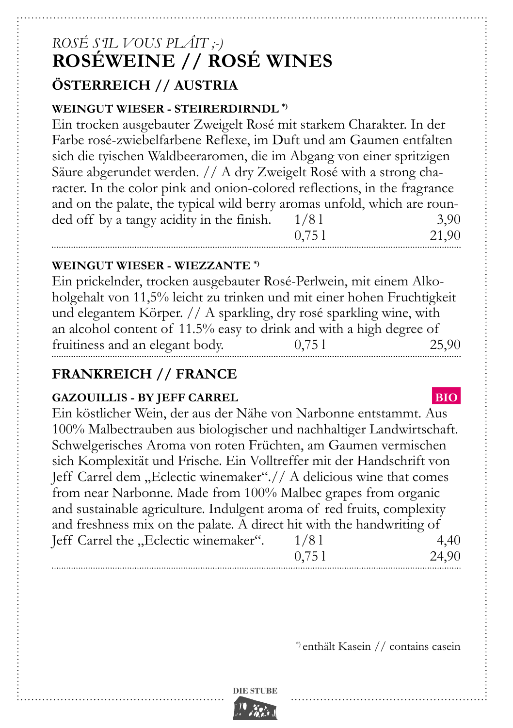# *Rosé s'il vous plâit ;-)* **roséweine // rosé wines Österreich // Austria**

#### **Weingut Wieser - Steirerdirndl \*)**

Ein trocken ausgebauter Zweigelt Rosé mit starkem Charakter. In der Farbe rosé-zwiebelfarbene Reflexe, im Duft und am Gaumen entfalten sich die tyischen Waldbeeraromen, die im Abgang von einer spritzigen Säure abgerundet werden. // A dry Zweigelt Rosé with a strong character. In the color pink and onion-colored reflections, in the fragrance and on the palate, the typical wild berry aromas unfold, which are rounded off by a tangy acidity in the finish.  $1/81$  3,90 0,75 l 21,90

#### **Weingut Wieser - Wiezzante \*)**

Ein prickelnder, trocken ausgebauter Rosé-Perlwein, mit einem Alkoholgehalt von 11,5% leicht zu trinken und mit einer hohen Fruchtigkeit und elegantem Körper. // A sparkling, dry rosé sparkling wine, with an alcohol content of 11.5% easy to drink and with a high degree of fruitiness and an elegant body.  $0,751$  25,90

## **frankreich // france**

#### **GAZOUILLIS - BY JEFF CARREL BIO.**

Ein köstlicher Wein, der aus der Nähe von Narbonne entstammt. Aus 100% Malbectrauben aus biologischer und nachhaltiger Landwirtschaft. Schwelgerisches Aroma von roten Früchten, am Gaumen vermischen sich Komplexität und Frische. Ein Volltreffer mit der Handschrift von Jeff Carrel dem "Eclectic winemaker".// A delicious wine that comes from near Narbonne. Made from 100% Malbec grapes from organic and sustainable agriculture. Indulgent aroma of red fruits, complexity and freshness mix on the palate. A direct hit with the handwriting of Jeff Carrel the "Eclectic winemaker".  $1/8$  l  $4,40$ 0,75 l 24,90

\*) enthält Kasein // contains casein

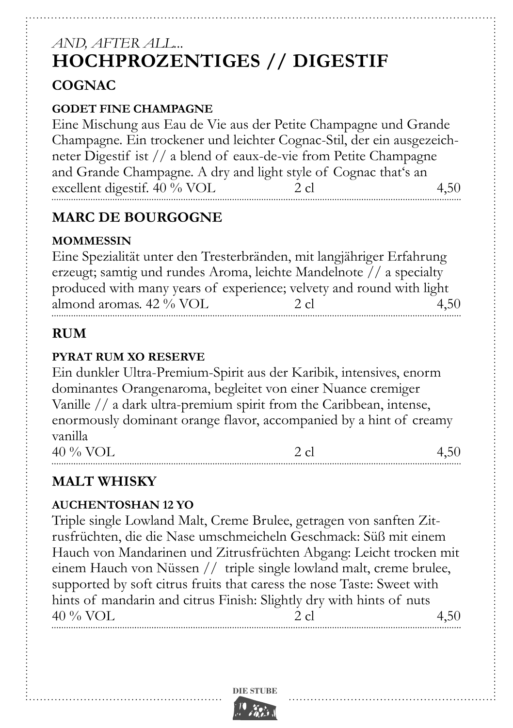# *and, after all...*  **Hochprozentiges // Digestif Cognac**

#### **Godet fine Champagne**

Eine Mischung aus Eau de Vie aus der Petite Champagne und Grande Champagne. Ein trockener und leichter Cognac-Stil, der ein ausgezeichneter Digestif ist // a blend of eaux-de-vie from Petite Champagne and Grande Champagne. A dry and light style of Cognac that's an excellent digestif. 40 % VOL 2 cl 4,50

# **Marc de Bourgogne**

### **Mommessin**

Eine Spezialität unter den Tresterbränden, mit langjähriger Erfahrung erzeugt; samtig und rundes Aroma, leichte Mandelnote // a specialty produced with many years of experience; velvety and round with light almond aromas.  $42\%$  VOL  $2 \text{ cl }$   $4.50$ 

# **Rum**

#### **Pyrat Rum XO Reserve**

Ein dunkler Ultra-Premium-Spirit aus der Karibik, intensives, enorm dominantes Orangenaroma, begleitet von einer Nuance cremiger Vanille // a dark ultra-premium spirit from the Caribbean, intense, enormously dominant orange flavor, accompanied by a hint of creamy vanilla  $40\%$  VOL  $2 \text{ cl }$   $4.50$ 

# **Malt Whisky**

### **Auchentoshan 12 YO**

Triple single Lowland Malt, Creme Brulee, getragen von sanften Zitrusfrüchten, die die Nase umschmeicheln Geschmack: Süß mit einem Hauch von Mandarinen und Zitrusfrüchten Abgang: Leicht trocken mit einem Hauch von Nüssen // triple single lowland malt, creme brulee, supported by soft citrus fruits that caress the nose Taste: Sweet with hints of mandarin and citrus Finish: Slightly dry with hints of nuts 40 % VOL 2 cl  $2 \text{ cl }$  4,50

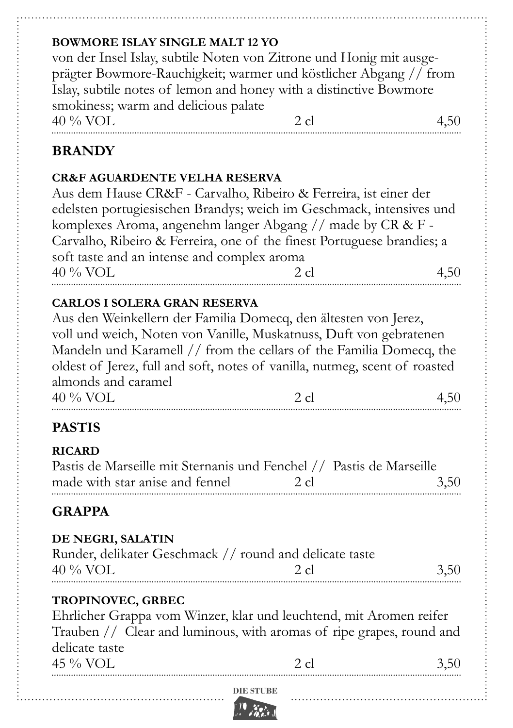### **Bowmore Islay Single Malt 12 YO**

von der Insel Islay, subtile Noten von Zitrone und Honig mit ausgeprägter Bowmore-Rauchigkeit; warmer und köstlicher Abgang // from Islay, subtile notes of lemon and honey with a distinctive Bowmore smokiness; warm and delicious palate  $40\%$  VOL 2 cl  $4.50$ 

## **Brandy**

#### **CR&F Aguardente velha Reserva**

Aus dem Hause CR&F - Carvalho, Ribeiro & Ferreira, ist einer der edelsten portugiesischen Brandys; weich im Geschmack, intensives und komplexes Aroma, angenehm langer Abgang // made by CR & F - Carvalho, Ribeiro & Ferreira, one of the finest Portuguese brandies; a soft taste and an intense and complex aroma  $40\%$  VOL 2 cl  $4,50$ 

#### **Carlos I Solera Gran Reserva**

Aus den Weinkellern der Familia Domecq, den ältesten von Jerez, voll und weich, Noten von Vanille, Muskatnuss, Duft von gebratenen Mandeln und Karamell // from the cellars of the Familia Domecq, the oldest of Jerez, full and soft, notes of vanilla, nutmeg, scent of roasted almonds and caramel

 $40\%$  VOL  $2$  cl  $4,50$ 

## **pastis**

# **Ricard**

| Pastis de Marseille mit Sternanis und Fenchel // Pastis de Marseille |         |      |
|----------------------------------------------------------------------|---------|------|
| made with star anise and fennel                                      | $-2$ cl | 3,50 |
|                                                                      |         |      |

## **grappa**

#### **De Negri, Salatin**

|                       | Runder, delikater Geschmack // round and delicate taste |      |
|-----------------------|---------------------------------------------------------|------|
| $40\%$ VOL<br>- 2. cl |                                                         | 3,50 |

#### **Tropinovec, Grbec**

Ehrlicher Grappa vom Winzer, klar und leuchtend, mit Aromen reifer Trauben // Clear and luminous, with aromas of ripe grapes, round and delicate taste 45 % VOL 2 cl  $2 \text{ cl }$  3.50

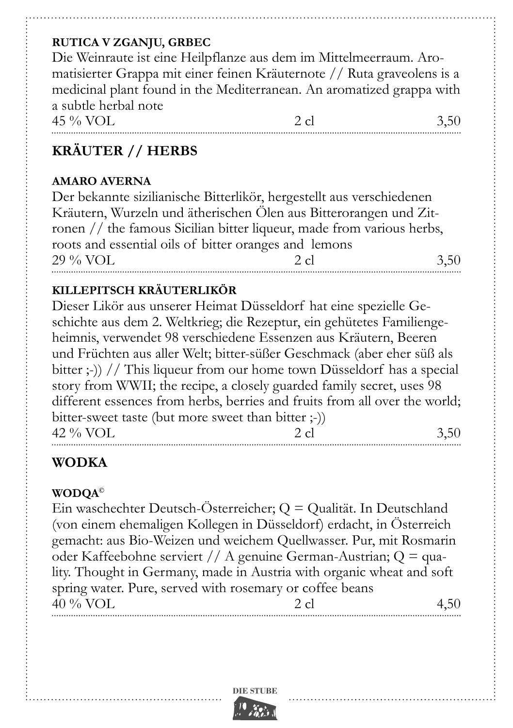#### **Rutica V Zganju, Grbec**

Die Weinraute ist eine Heilpflanze aus dem im Mittelmeerraum. Aromatisierter Grappa mit einer feinen Kräuternote // Ruta graveolens is a medicinal plant found in the Mediterranean. An aromatized grappa with a subtle herbal note  $45\%$  VOL  $2 \text{ cl }$   $3.50$ 

## **Kräuter // Herbs**

#### **Amaro Averna**

Der bekannte sizilianische Bitterlikör, hergestellt aus verschiedenen Kräutern, Wurzeln und ätherischen Ölen aus Bitterorangen und Zitronen // the famous Sicilian bitter liqueur, made from various herbs, roots and essential oils of bitter oranges and lemons 29 % VOL 2 cl  $2 \text{ cl }$  3,50

#### **Killepitsch Kräuterlikör**

Dieser Likör aus unserer Heimat Düsseldorf hat eine spezielle Geschichte aus dem 2. Weltkrieg; die Rezeptur, ein gehütetes Familiengeheimnis, verwendet 98 verschiedene Essenzen aus Kräutern, Beeren und Früchten aus aller Welt; bitter-süßer Geschmack (aber eher süß als bitter ;-)) // This liqueur from our home town Düsseldorf has a special story from WWII; the recipe, a closely guarded family secret, uses 98 different essences from herbs, berries and fruits from all over the world: bitter-sweet taste (but more sweet than bitter ;-))  $42\%$  VOL 2 cl  $3.50$ 

## **Wodka**

#### **wodqa©**

Ein waschechter Deutsch-Österreicher; Q = Qualität. In Deutschland (von einem ehemaligen Kollegen in Düsseldorf) erdacht, in Österreich gemacht: aus Bio-Weizen und weichem Quellwasser. Pur, mit Rosmarin oder Kaffeebohne serviert // A genuine German-Austrian; Q = quality. Thought in Germany, made in Austria with organic wheat and soft spring water. Pure, served with rosemary or coffee beans  $40\%$  VOL 2 cl  $4.50$ 

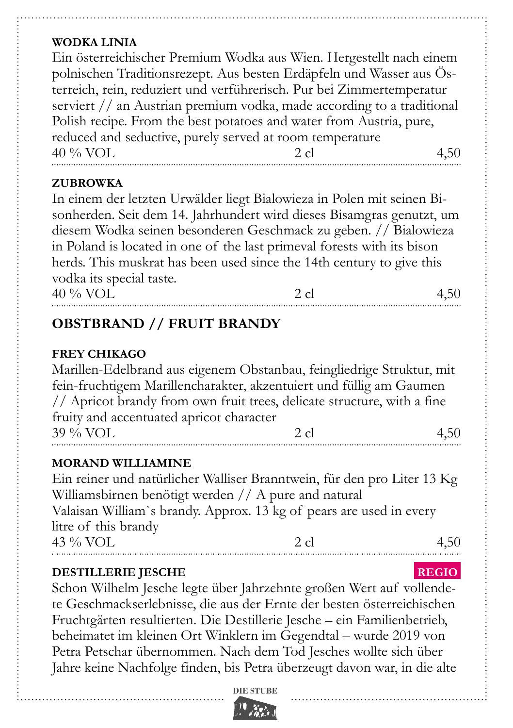#### **Wodka Linia**

Ein österreichischer Premium Wodka aus Wien. Hergestellt nach einem polnischen Traditionsrezept. Aus besten Erdäpfeln und Wasser aus Österreich, rein, reduziert und verführerisch. Pur bei Zimmertemperatur serviert // an Austrian premium vodka, made according to a traditional Polish recipe. From the best potatoes and water from Austria, pure, reduced and seductive, purely served at room temperature  $40\%$  VOL  $2 \text{ cl }$   $4,50$ 

#### **Zubrowka**

In einem der letzten Urwälder liegt Bialowieza in Polen mit seinen Bisonherden. Seit dem 14. Jahrhundert wird dieses Bisamgras genutzt, um diesem Wodka seinen besonderen Geschmack zu geben. // Bialowieza in Poland is located in one of the last primeval forests with its bison herds. This muskrat has been used since the 14th century to give this vodka its special taste.

 $40\%$  VOL 2 cl  $4,50$ 

# **Obstbrand // Fruit Brandy**

#### **Frey Chikago**

Marillen-Edelbrand aus eigenem Obstanbau, feingliedrige Struktur, mit fein-fruchtigem Marillencharakter, akzentuiert und füllig am Gaumen // Apricot brandy from own fruit trees, delicate structure, with a fine fruity and accentuated apricot character  $39\%$  VOL  $2 \text{ cl }$  4.50

#### **Morand Williamine**

Ein reiner und natürlicher Walliser Branntwein, für den pro Liter 13 Kg Williamsbirnen benötigt werden // A pure and natural Valaisan William`s brandy. Approx. 13 kg of pears are used in every litre of this brandy  $43\%$  VOL  $2 \text{ cl }$   $4,50$ 

#### **destillerie Jesche .RegIO.**

Schon Wilhelm Jesche legte über Jahrzehnte großen Wert auf vollendete Geschmackserlebnisse, die aus der Ernte der besten österreichischen Fruchtgärten resultierten. Die Destillerie Jesche – ein Familienbetrieb, beheimatet im kleinen Ort Winklern im Gegendtal – wurde 2019 von Petra Petschar übernommen. Nach dem Tod Jesches wollte sich über Jahre keine Nachfolge finden, bis Petra überzeugt davon war, in die alte

**DIE STUBE**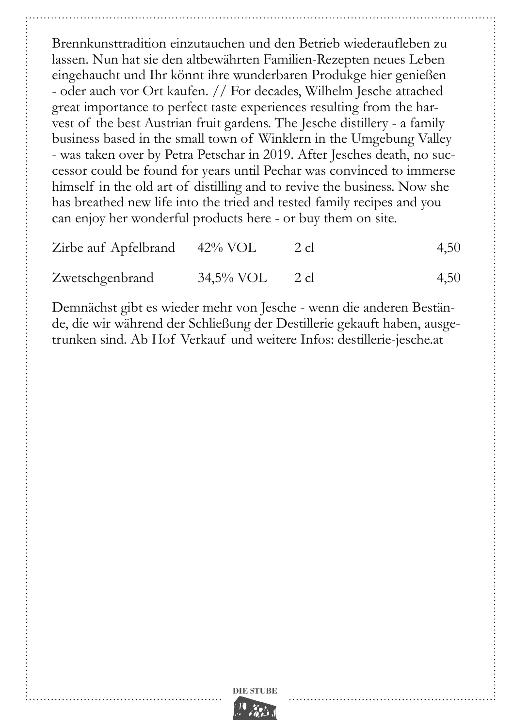Brennkunsttradition einzutauchen und den Betrieb wiederaufleben zu lassen. Nun hat sie den altbewährten Familien-Rezepten neues Leben eingehaucht und Ihr könnt ihre wunderbaren Produkge hier genießen - oder auch vor Ort kaufen. // For decades, Wilhelm Jesche attached great importance to perfect taste experiences resulting from the harvest of the best Austrian fruit gardens. The Jesche distillery - a family business based in the small town of Winklern in the Umgebung Valley - was taken over by Petra Petschar in 2019. After Jesches death, no successor could be found for years until Pechar was convinced to immerse himself in the old art of distilling and to revive the business. Now she has breathed new life into the tried and tested family recipes and you can enjoy her wonderful products here - or buy them on site.

| Zirbe auf Apfelbrand 42% VOL |                   | 2 cl | 4,50 |
|------------------------------|-------------------|------|------|
| Zwetschgenbrand              | $34,5\%$ VOL 2 cl |      | 4,50 |

Demnächst gibt es wieder mehr von Jesche - wenn die anderen Bestände, die wir während der Schließung der Destillerie gekauft haben, ausgetrunken sind. Ab Hof Verkauf und weitere Infos: destillerie-jesche.at